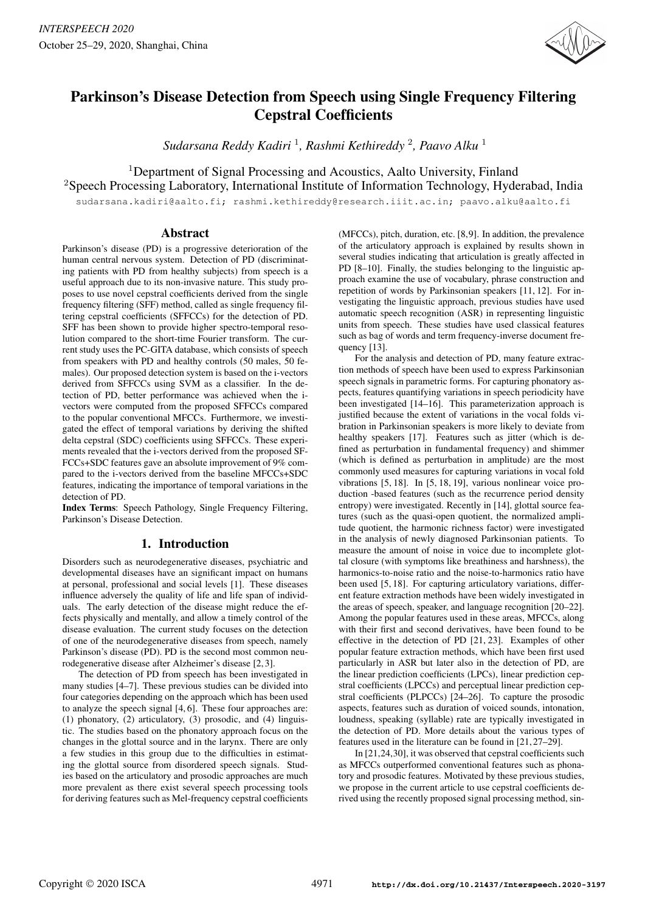

# Parkinson's Disease Detection from Speech using Single Frequency Filtering Cepstral Coefficients

*Sudarsana Reddy Kadiri* <sup>1</sup> *, Rashmi Kethireddy* <sup>2</sup> *, Paavo Alku* <sup>1</sup>

<sup>1</sup>Department of Signal Processing and Acoustics, Aalto University, Finland <sup>2</sup>Speech Processing Laboratory, International Institute of Information Technology, Hyderabad, India

sudarsana.kadiri@aalto.fi; rashmi.kethireddy@research.iiit.ac.in; paavo.alku@aalto.fi

# Abstract

Parkinson's disease (PD) is a progressive deterioration of the human central nervous system. Detection of PD (discriminating patients with PD from healthy subjects) from speech is a useful approach due to its non-invasive nature. This study proposes to use novel cepstral coefficients derived from the single frequency filtering (SFF) method, called as single frequency filtering cepstral coefficients (SFFCCs) for the detection of PD. SFF has been shown to provide higher spectro-temporal resolution compared to the short-time Fourier transform. The current study uses the PC-GITA database, which consists of speech from speakers with PD and healthy controls (50 males, 50 females). Our proposed detection system is based on the i-vectors derived from SFFCCs using SVM as a classifier. In the detection of PD, better performance was achieved when the ivectors were computed from the proposed SFFCCs compared to the popular conventional MFCCs. Furthermore, we investigated the effect of temporal variations by deriving the shifted delta cepstral (SDC) coefficients using SFFCCs. These experiments revealed that the i-vectors derived from the proposed SF-FCCs+SDC features gave an absolute improvement of 9% compared to the i-vectors derived from the baseline MFCCs+SDC features, indicating the importance of temporal variations in the detection of PD.

Index Terms: Speech Pathology, Single Frequency Filtering, Parkinson's Disease Detection.

# 1. Introduction

Disorders such as neurodegenerative diseases, psychiatric and developmental diseases have an significant impact on humans at personal, professional and social levels [1]. These diseases influence adversely the quality of life and life span of individuals. The early detection of the disease might reduce the effects physically and mentally, and allow a timely control of the disease evaluation. The current study focuses on the detection of one of the neurodegenerative diseases from speech, namely Parkinson's disease (PD). PD is the second most common neurodegenerative disease after Alzheimer's disease [2, 3].

The detection of PD from speech has been investigated in many studies [4–7]. These previous studies can be divided into four categories depending on the approach which has been used to analyze the speech signal [4, 6]. These four approaches are: (1) phonatory, (2) articulatory, (3) prosodic, and (4) linguistic. The studies based on the phonatory approach focus on the changes in the glottal source and in the larynx. There are only a few studies in this group due to the difficulties in estimating the glottal source from disordered speech signals. Studies based on the articulatory and prosodic approaches are much more prevalent as there exist several speech processing tools for deriving features such as Mel-frequency cepstral coefficients (MFCCs), pitch, duration, etc. [8,9]. In addition, the prevalence of the articulatory approach is explained by results shown in several studies indicating that articulation is greatly affected in PD [8–10]. Finally, the studies belonging to the linguistic approach examine the use of vocabulary, phrase construction and repetition of words by Parkinsonian speakers [11, 12]. For investigating the linguistic approach, previous studies have used automatic speech recognition (ASR) in representing linguistic units from speech. These studies have used classical features such as bag of words and term frequency-inverse document frequency [13].

For the analysis and detection of PD, many feature extraction methods of speech have been used to express Parkinsonian speech signals in parametric forms. For capturing phonatory aspects, features quantifying variations in speech periodicity have been investigated [14–16]. This parameterization approach is justified because the extent of variations in the vocal folds vibration in Parkinsonian speakers is more likely to deviate from healthy speakers [17]. Features such as jitter (which is defined as perturbation in fundamental frequency) and shimmer (which is defined as perturbation in amplitude) are the most commonly used measures for capturing variations in vocal fold vibrations [5, 18]. In [5, 18, 19], various nonlinear voice production -based features (such as the recurrence period density entropy) were investigated. Recently in [14], glottal source features (such as the quasi-open quotient, the normalized amplitude quotient, the harmonic richness factor) were investigated in the analysis of newly diagnosed Parkinsonian patients. To measure the amount of noise in voice due to incomplete glottal closure (with symptoms like breathiness and harshness), the harmonics-to-noise ratio and the noise-to-harmonics ratio have been used [5, 18]. For capturing articulatory variations, different feature extraction methods have been widely investigated in the areas of speech, speaker, and language recognition [20–22]. Among the popular features used in these areas, MFCCs, along with their first and second derivatives, have been found to be effective in the detection of PD [21, 23]. Examples of other popular feature extraction methods, which have been first used particularly in ASR but later also in the detection of PD, are the linear prediction coefficients (LPCs), linear prediction cepstral coefficients (LPCCs) and perceptual linear prediction cepstral coefficients (PLPCCs) [24–26]. To capture the prosodic aspects, features such as duration of voiced sounds, intonation, loudness, speaking (syllable) rate are typically investigated in the detection of PD. More details about the various types of features used in the literature can be found in [21, 27–29].

In [21,24,30], it was observed that cepstral coefficients such as MFCCs outperformed conventional features such as phonatory and prosodic features. Motivated by these previous studies, we propose in the current article to use cepstral coefficients derived using the recently proposed signal processing method, sin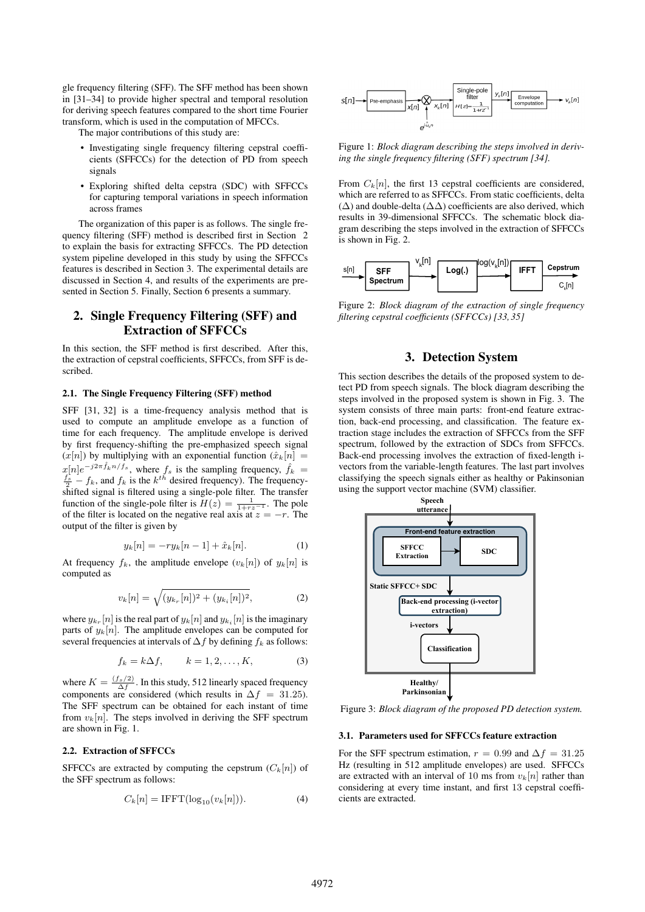gle frequency filtering (SFF). The SFF method has been shown in [31–34] to provide higher spectral and temporal resolution for deriving speech features compared to the short time Fourier transform, which is used in the computation of MFCCs.

The major contributions of this study are:

- Investigating single frequency filtering cepstral coefficients (SFFCCs) for the detection of PD from speech signals
- Exploring shifted delta cepstra (SDC) with SFFCCs for capturing temporal variations in speech information across frames

The organization of this paper is as follows. The single frequency filtering (SFF) method is described first in Section 2 to explain the basis for extracting SFFCCs. The PD detection system pipeline developed in this study by using the SFFCCs features is described in Section 3. The experimental details are discussed in Section 4, and results of the experiments are presented in Section 5. Finally, Section 6 presents a summary.

# 2. Single Frequency Filtering (SFF) and Extraction of SFFCCs

In this section, the SFF method is first described. After this, the extraction of cepstral coefficients, SFFCCs, from SFF is described.

#### 2.1. The Single Frequency Filtering (SFF) method

SFF [31, 32] is a time-frequency analysis method that is used to compute an amplitude envelope as a function of time for each frequency. The amplitude envelope is derived by first frequency-shifting the pre-emphasized speech signal  $(x[n])$  by multiplying with an exponential function  $(\hat{x}_k[n])$  $x[n]e^{-j2\pi \hat{f}_k n/f_s}$ , where  $f_s$  is the sampling frequency,  $\hat{f}_k = \frac{f_s}{2} - f_k$ , and  $f_k$  is the  $k^{th}$  desired frequency). The frequencyshifted signal is filtered using a single-pole filter. The transfer function of the single-pole filter is  $H(z) = \frac{1}{1 + r z^{-1}}$ . The pole of the filter is located on the negative real axis at  $z = -r$ . The output of the filter is given by

$$
y_k[n] = -ry_k[n-1] + \hat{x}_k[n].
$$
 (1)

At frequency  $f_k$ , the amplitude envelope  $(v_k[n])$  of  $y_k[n]$  is computed as

$$
v_k[n] = \sqrt{(y_{k_r}[n])^2 + (y_{k_i}[n])^2},\tag{2}
$$

where  $y_{k_r}[n]$  is the real part of  $y_k[n]$  and  $y_{k_i}[n]$  is the imaginary parts of  $y_k[n]$ . The amplitude envelopes can be computed for several frequencies at intervals of  $\Delta f$  by defining  $f_k$  as follows:

$$
f_k = k\Delta f, \qquad k = 1, 2, \dots, K,
$$
 (3)

where  $K = \frac{(f_s/2)}{\Delta f}$ . In this study, 512 linearly spaced frequency components are considered (which results in  $\Delta f = 31.25$ ). The SFF spectrum can be obtained for each instant of time from  $v_k[n]$ . The steps involved in deriving the SFF spectrum are shown in Fig. 1.

### 2.2. Extraction of SFFCCs

SFFCCs are extracted by computing the cepstrum  $(C_k[n])$  of the SFF spectrum as follows:

$$
C_k[n] = \text{IFFT}(\log_{10}(v_k[n])). \tag{4})
$$



Figure 1: *Block diagram describing the steps involved in deriving the single frequency filtering (SFF) spectrum [34].*

From  $C_k[n]$ , the first 13 cepstral coefficients are considered, which are referred to as SFFCCs. From static coefficients, delta (∆) and double-delta (∆∆) coefficients are also derived, which results in 39-dimensional SFFCCs. The schematic block diagram describing the steps involved in the extraction of SFFCCs is shown in Fig. 2.



Figure 2: *Block diagram of the extraction of single frequency filtering cepstral coefficients (SFFCCs) [33, 35]*

# 3. Detection System

This section describes the details of the proposed system to detect PD from speech signals. The block diagram describing the steps involved in the proposed system is shown in Fig. 3. The system consists of three main parts: front-end feature extraction, back-end processing, and classification. The feature extraction stage includes the extraction of SFFCCs from the SFF spectrum, followed by the extraction of SDCs from SFFCCs. Back-end processing involves the extraction of fixed-length ivectors from the variable-length features. The last part involves classifying the speech signals either as healthy or Pakinsonian using the support vector machine (SVM) classifier.



Figure 3: *Block diagram of the proposed PD detection system.*

#### 3.1. Parameters used for SFFCCs feature extraction

For the SFF spectrum estimation,  $r = 0.99$  and  $\Delta f = 31.25$ Hz (resulting in 512 amplitude envelopes) are used. SFFCCs are extracted with an interval of 10 ms from  $v_k[n]$  rather than considering at every time instant, and first 13 cepstral coefficients are extracted.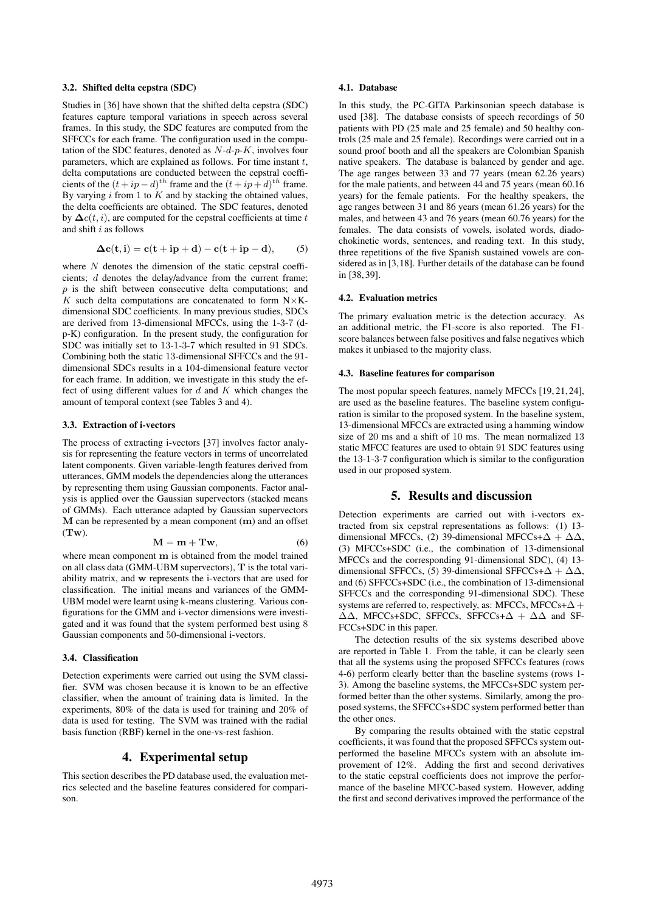### 3.2. Shifted delta cepstra (SDC)

Studies in [36] have shown that the shifted delta cepstra (SDC) features capture temporal variations in speech across several frames. In this study, the SDC features are computed from the SFFCCs for each frame. The configuration used in the computation of the SDC features, denoted as  $N-d-p-K$ , involves four parameters, which are explained as follows. For time instant  $t$ , delta computations are conducted between the cepstral coefficients of the  $(t + ip - d)^{th}$  frame and the  $(t + ip + d)^{th}$  frame. By varying  $i$  from 1 to  $K$  and by stacking the obtained values, the delta coefficients are obtained. The SDC features, denoted by  $\Delta c(t, i)$ , are computed for the cepstral coefficients at time t and shift i as follows

$$
\Delta \mathbf{c}(\mathbf{t}, \mathbf{i}) = \mathbf{c}(\mathbf{t} + \mathbf{i}\mathbf{p} + \mathbf{d}) - \mathbf{c}(\mathbf{t} + \mathbf{i}\mathbf{p} - \mathbf{d}), \quad (5)
$$

where  $N$  denotes the dimension of the static cepstral coefficients; d denotes the delay/advance from the current frame;  $p$  is the shift between consecutive delta computations; and K such delta computations are concatenated to form  $N\times K$ dimensional SDC coefficients. In many previous studies, SDCs are derived from 13-dimensional MFCCs, using the 1-3-7 (dp-K) configuration. In the present study, the configuration for SDC was initially set to 13-1-3-7 which resulted in 91 SDCs. Combining both the static 13-dimensional SFFCCs and the 91 dimensional SDCs results in a 104-dimensional feature vector for each frame. In addition, we investigate in this study the effect of using different values for  $d$  and  $K$  which changes the amount of temporal context (see Tables 3 and 4).

#### 3.3. Extraction of i-vectors

The process of extracting i-vectors [37] involves factor analysis for representing the feature vectors in terms of uncorrelated latent components. Given variable-length features derived from utterances, GMM models the dependencies along the utterances by representing them using Gaussian components. Factor analysis is applied over the Gaussian supervectors (stacked means of GMMs). Each utterance adapted by Gaussian supervectors  $M$  can be represented by a mean component  $(m)$  and an offset  $(Tw)$ .

$$
\mathbf{M} = \mathbf{m} + \mathbf{Tw},\tag{6}
$$

where mean component m is obtained from the model trained on all class data (GMM-UBM supervectors), T is the total variability matrix, and w represents the i-vectors that are used for classification. The initial means and variances of the GMM-UBM model were learnt using k-means clustering. Various configurations for the GMM and i-vector dimensions were investigated and it was found that the system performed best using 8 Gaussian components and 50-dimensional i-vectors.

## 3.4. Classification

Detection experiments were carried out using the SVM classifier. SVM was chosen because it is known to be an effective classifier, when the amount of training data is limited. In the experiments, 80% of the data is used for training and 20% of data is used for testing. The SVM was trained with the radial basis function (RBF) kernel in the one-vs-rest fashion.

# 4. Experimental setup

This section describes the PD database used, the evaluation metrics selected and the baseline features considered for comparison.

### 4.1. Database

In this study, the PC-GITA Parkinsonian speech database is used [38]. The database consists of speech recordings of 50 patients with PD (25 male and 25 female) and 50 healthy controls (25 male and 25 female). Recordings were carried out in a sound proof booth and all the speakers are Colombian Spanish native speakers. The database is balanced by gender and age. The age ranges between 33 and 77 years (mean 62.26 years) for the male patients, and between 44 and 75 years (mean 60.16 years) for the female patients. For the healthy speakers, the age ranges between 31 and 86 years (mean 61.26 years) for the males, and between 43 and 76 years (mean 60.76 years) for the females. The data consists of vowels, isolated words, diadochokinetic words, sentences, and reading text. In this study, three repetitions of the five Spanish sustained vowels are considered as in [3,18]. Further details of the database can be found in [38, 39].

#### 4.2. Evaluation metrics

The primary evaluation metric is the detection accuracy. As an additional metric, the F1-score is also reported. The F1 score balances between false positives and false negatives which makes it unbiased to the majority class.

### 4.3. Baseline features for comparison

The most popular speech features, namely MFCCs [19, 21, 24], are used as the baseline features. The baseline system configuration is similar to the proposed system. In the baseline system, 13-dimensional MFCCs are extracted using a hamming window size of 20 ms and a shift of 10 ms. The mean normalized 13 static MFCC features are used to obtain 91 SDC features using the 13-1-3-7 configuration which is similar to the configuration used in our proposed system.

# 5. Results and discussion

Detection experiments are carried out with i-vectors extracted from six cepstral representations as follows: (1) 13 dimensional MFCCs, (2) 39-dimensional MFCCs+ $\Delta + \Delta\Delta$ , (3) MFCCs+SDC (i.e., the combination of 13-dimensional MFCCs and the corresponding 91-dimensional SDC), (4) 13 dimensional SFFCCs, (5) 39-dimensional SFFCCs+ $\Delta + \Delta\Delta$ , and (6) SFFCCs+SDC (i.e., the combination of 13-dimensional SFFCCs and the corresponding 91-dimensional SDC). These systems are referred to, respectively, as: MFCCs, MFCCs+ $\Delta$ +  $\Delta\Delta$ , MFCCs+SDC, SFFCCs, SFFCCs+ $\Delta + \Delta\Delta$  and SF-FCCs+SDC in this paper.

The detection results of the six systems described above are reported in Table 1. From the table, it can be clearly seen that all the systems using the proposed SFFCCs features (rows 4-6) perform clearly better than the baseline systems (rows 1- 3). Among the baseline systems, the MFCCs+SDC system performed better than the other systems. Similarly, among the proposed systems, the SFFCCs+SDC system performed better than the other ones.

By comparing the results obtained with the static cepstral coefficients, it was found that the proposed SFFCCs system outperformed the baseline MFCCs system with an absolute improvement of 12%. Adding the first and second derivatives to the static cepstral coefficients does not improve the performance of the baseline MFCC-based system. However, adding the first and second derivatives improved the performance of the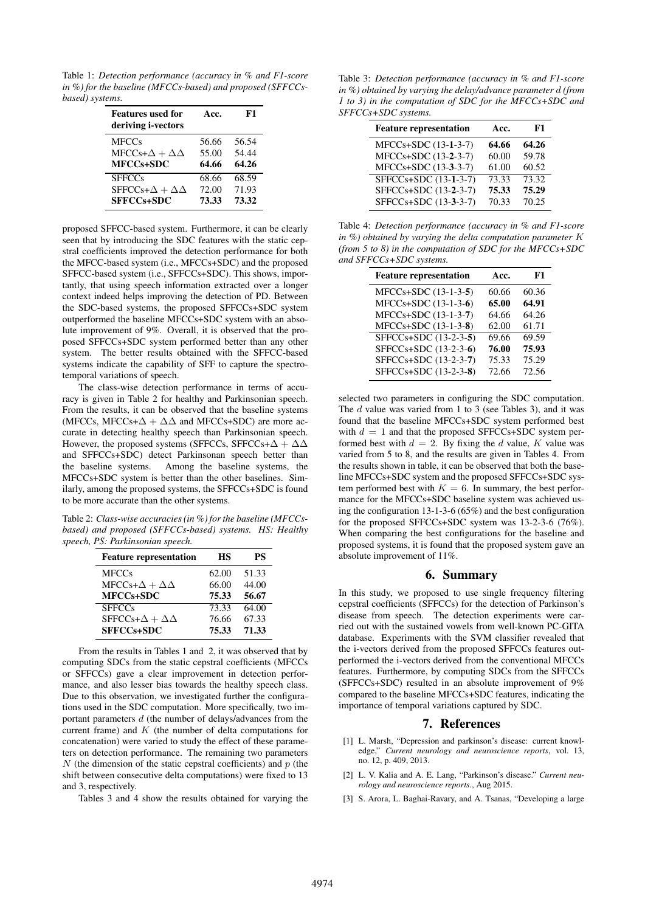Table 1: *Detection performance (accuracy in % and F1-score in %) for the baseline (MFCCs-based) and proposed (SFFCCsbased) systems.*

| <b>Features used for</b><br>deriving i-vectors | Acc.  | F1    |
|------------------------------------------------|-------|-------|
| <b>MFCCs</b>                                   | 56.66 | 56.54 |
| $MFCCs+\Delta + \Delta\Delta$                  | 55.00 | 54.44 |
| MFCCs+SDC                                      | 64.66 | 64.26 |
| <b>SFFCCs</b>                                  | 68.66 | 68.59 |
| SFFCCs+ $\Delta + \Delta\Delta$                | 72.00 | 71.93 |
| <b>SFFCCs+SDC</b>                              | 73.33 | 73.32 |

proposed SFFCC-based system. Furthermore, it can be clearly seen that by introducing the SDC features with the static cepstral coefficients improved the detection performance for both the MFCC-based system (i.e., MFCCs+SDC) and the proposed SFFCC-based system (i.e., SFFCCs+SDC). This shows, importantly, that using speech information extracted over a longer context indeed helps improving the detection of PD. Between the SDC-based systems, the proposed SFFCCs+SDC system outperformed the baseline MFCCs+SDC system with an absolute improvement of 9%. Overall, it is observed that the proposed SFFCCs+SDC system performed better than any other system. The better results obtained with the SFFCC-based systems indicate the capability of SFF to capture the spectrotemporal variations of speech.

The class-wise detection performance in terms of accuracy is given in Table 2 for healthy and Parkinsonian speech. From the results, it can be observed that the baseline systems (MFCCs, MFCCs+ $\Delta + \Delta\Delta$  and MFCCs+SDC) are more accurate in detecting healthy speech than Parkinsonian speech. However, the proposed systems (SFFCCs, SFFCCs+ $\Delta + \Delta\Delta$ ) and SFFCCs+SDC) detect Parkinsonan speech better than the baseline systems. Among the baseline systems, the MFCCs+SDC system is better than the other baselines. Similarly, among the proposed systems, the SFFCCs+SDC is found to be more accurate than the other systems.

Table 2: *Class-wise accuracies (in %) for the baseline (MFCCsbased) and proposed (SFFCCs-based) systems. HS: Healthy speech, PS: Parkinsonian speech.*

| <b>Feature representation</b> | НS    | PS    |
|-------------------------------|-------|-------|
| <b>MFCCs</b>                  | 62.00 | 51.33 |
| $MFCCs+\Delta + \Delta\Delta$ | 66.00 | 44.00 |
| MFCCs+SDC                     | 75.33 | 56.67 |
| <b>SFFCCs</b>                 | 73.33 | 64.00 |
| $SFFCCs+\Delta+\Delta\Delta$  | 76.66 | 67.33 |
| SFFCCs+SDC                    | 75.33 | 71.33 |

From the results in Tables 1 and 2, it was observed that by computing SDCs from the static cepstral coefficients (MFCCs or SFFCCs) gave a clear improvement in detection performance, and also lesser bias towards the healthy speech class. Due to this observation, we investigated further the configurations used in the SDC computation. More specifically, two important parameters  $d$  (the number of delays/advances from the current frame) and  $K$  (the number of delta computations for concatenation) were varied to study the effect of these parameters on detection performance. The remaining two parameters  $N$  (the dimension of the static cepstral coefficients) and  $p$  (the shift between consecutive delta computations) were fixed to 13 and 3, respectively.

Tables 3 and 4 show the results obtained for varying the

Table 3: *Detection performance (accuracy in % and F1-score in %) obtained by varying the delay/advance parameter* d *(from 1 to 3) in the computation of SDC for the MFCCs+SDC and SFFCCs+SDC systems.*

| <b>Feature representation</b> | Acc.  | F1    |
|-------------------------------|-------|-------|
| MFCCs+SDC (13-1-3-7)          | 64.66 | 64.26 |
| MFCCs+SDC (13-2-3-7)          | 60.00 | 59.78 |
| MFCCs+SDC (13-3-3-7)          | 61.00 | 60.52 |
| SFFCCs+SDC (13-1-3-7)         | 73.33 | 73.32 |
| SFFCCs+SDC (13-2-3-7)         | 75.33 | 75.29 |
| SFFCCs+SDC (13-3-3-7)         | 70.33 | 70.25 |

Table 4: *Detection performance (accuracy in % and F1-score in %) obtained by varying the delta computation parameter* K *(from 5 to 8) in the computation of SDC for the MFCCs+SDC and SFFCCs+SDC systems.*

| <b>Feature representation</b> | Acc.  | F1    |
|-------------------------------|-------|-------|
| MFCCs+SDC (13-1-3-5)          | 60.66 | 60.36 |
| MFCCs+SDC (13-1-3-6)          | 65.00 | 64.91 |
| MFCCs+SDC (13-1-3-7)          | 64.66 | 64.26 |
| MFCCs+SDC (13-1-3-8)          | 62.00 | 61.71 |
| SFFCCs+SDC (13-2-3-5)         | 69.66 | 69.59 |
| SFFCCs+SDC (13-2-3-6)         | 76.00 | 75.93 |
| SFFCCs+SDC (13-2-3-7)         | 75.33 | 75.29 |
| SFFCCs+SDC (13-2-3-8)         | 72.66 | 72.56 |
|                               |       |       |

selected two parameters in configuring the SDC computation. The  $d$  value was varied from 1 to 3 (see Tables 3), and it was found that the baseline MFCCs+SDC system performed best with  $d = 1$  and that the proposed SFFCCs+SDC system performed best with  $d = 2$ . By fixing the d value, K value was varied from 5 to 8, and the results are given in Tables 4. From the results shown in table, it can be observed that both the baseline MFCCs+SDC system and the proposed SFFCCs+SDC system performed best with  $K = 6$ . In summary, the best performance for the MFCCs+SDC baseline system was achieved using the configuration 13-1-3-6 (65%) and the best configuration for the proposed SFFCCs+SDC system was 13-2-3-6 (76%). When comparing the best configurations for the baseline and proposed systems, it is found that the proposed system gave an absolute improvement of 11%.

# 6. Summary

In this study, we proposed to use single frequency filtering cepstral coefficients (SFFCCs) for the detection of Parkinson's disease from speech. The detection experiments were carried out with the sustained vowels from well-known PC-GITA database. Experiments with the SVM classifier revealed that the i-vectors derived from the proposed SFFCCs features outperformed the i-vectors derived from the conventional MFCCs features. Furthermore, by computing SDCs from the SFFCCs (SFFCCs+SDC) resulted in an absolute improvement of 9% compared to the baseline MFCCs+SDC features, indicating the importance of temporal variations captured by SDC.

### 7. References

- [1] L. Marsh, "Depression and parkinson's disease: current knowledge," *Current neurology and neuroscience reports*, vol. 13, no. 12, p. 409, 2013.
- [2] L. V. Kalia and A. E. Lang, "Parkinson's disease." *Current neurology and neuroscience reports.*, Aug 2015.
- [3] S. Arora, L. Baghai-Ravary, and A. Tsanas, "Developing a large